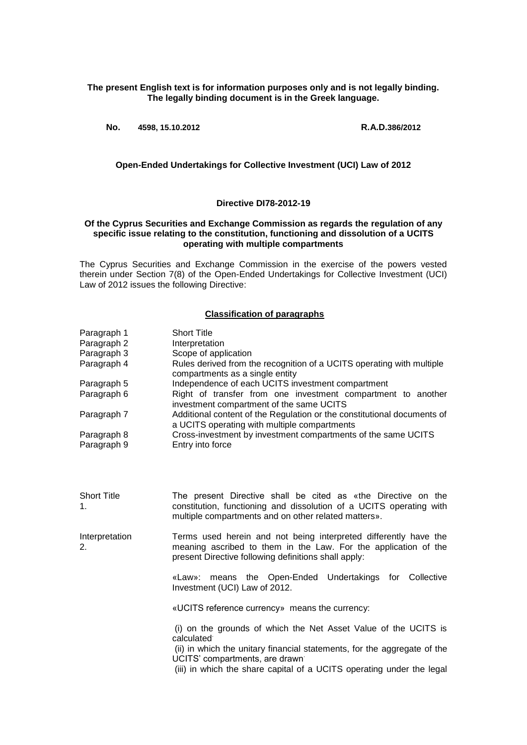**The present English text is for information purposes only and is not legally binding. The legally binding document is in the Greek language.**

**No. 4598, 15.10.2012 R.A.D.386/2012**

**Open-Ended Undertakings for Collective Investment (UCI) Law of 2012**

## **Directive DI78-2012-19**

## **Of the Cyprus Securities and Exchange Commission as regards the regulation of any specific issue relating to the constitution, functioning and dissolution of a UCITS operating with multiple compartments**

The Cyprus Securities and Exchange Commission in the exercise of the powers vested therein under Section 7(8) of the Open-Ended Undertakings for Collective Investment (UCI) Law of 2012 issues the following Directive:

## **Classification of paragraphs**

| Paragraph 1<br>Paragraph 2<br>Paragraph 3<br>Paragraph 4<br>Paragraph 5<br>Paragraph 6<br>Paragraph 7<br>Paragraph 8<br>Paragraph 9 | <b>Short Title</b><br>Interpretation<br>Scope of application<br>Rules derived from the recognition of a UCITS operating with multiple<br>compartments as a single entity<br>Independence of each UCITS investment compartment<br>Right of transfer from one investment compartment to another<br>investment compartment of the same UCITS<br>Additional content of the Regulation or the constitutional documents of<br>a UCITS operating with multiple compartments<br>Cross-investment by investment compartments of the same UCITS<br>Entry into force |
|-------------------------------------------------------------------------------------------------------------------------------------|-----------------------------------------------------------------------------------------------------------------------------------------------------------------------------------------------------------------------------------------------------------------------------------------------------------------------------------------------------------------------------------------------------------------------------------------------------------------------------------------------------------------------------------------------------------|
| <b>Short Title</b><br>1.                                                                                                            | The present Directive shall be cited as «the Directive on the<br>constitution, functioning and dissolution of a UCITS operating with<br>multiple compartments and on other related matters».                                                                                                                                                                                                                                                                                                                                                              |
| Interpretation<br>2.                                                                                                                | Terms used herein and not being interpreted differently have the<br>meaning ascribed to them in the Law. For the application of the<br>present Directive following definitions shall apply:                                                                                                                                                                                                                                                                                                                                                               |
|                                                                                                                                     | means the Open-Ended Undertakings for Collective<br>«Law»:<br>Investment (UCI) Law of 2012.                                                                                                                                                                                                                                                                                                                                                                                                                                                               |
|                                                                                                                                     | «UCITS reference currency» means the currency:                                                                                                                                                                                                                                                                                                                                                                                                                                                                                                            |
|                                                                                                                                     | (i) on the grounds of which the Net Asset Value of the UCITS is<br>calculated <sup>®</sup><br>(ii) in which the unitary financial statements, for the aggregate of the<br>UCITS' compartments, are drawn                                                                                                                                                                                                                                                                                                                                                  |

(iii) in which the share capital of a UCITS operating under the legal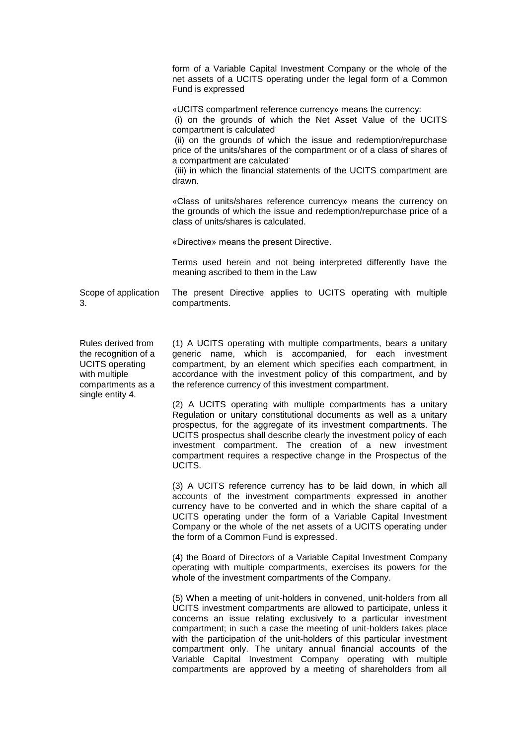form of a Variable Capital Investment Company or the whole of the net assets of a UCITS operating under the legal form of a Common Fund is expressed

«UCITS compartment reference currency» means the currency:

(i) on the grounds of which the Net Asset Value of the UCITS compartment is calculated.

(ii) on the grounds of which the issue and redemption/repurchase price of the units/shares of the compartment or of a class of shares of a compartment are calculated.

(iii) in which the financial statements of the UCITS compartment are drawn.

«Class of units/shares reference currency» means the currency on the grounds of which the issue and redemption/repurchase price of a class of units/shares is calculated.

«Directive» means the present Directive.

Terms used herein and not being interpreted differently have the meaning ascribed to them in the Law

Scope of application 3. The present Directive applies to UCITS operating with multiple compartments.

Rules derived from the recognition of a UCITS operating with multiple compartments as a single entity 4.

(1) A UCITS operating with multiple compartments, bears a unitary generic name, which is accompanied, for each investment compartment, by an element which specifies each compartment, in accordance with the investment policy of this compartment, and by the reference currency of this investment compartment.

(2) A UCITS operating with multiple compartments has a unitary Regulation or unitary constitutional documents as well as a unitary prospectus, for the aggregate of its investment compartments. The UCITS prospectus shall describe clearly the investment policy of each investment compartment. The creation of a new investment compartment requires a respective change in the Prospectus of the UCITS.

(3) A UCITS reference currency has to be laid down, in which all accounts of the investment compartments expressed in another currency have to be converted and in which the share capital of a UCITS operating under the form of a Variable Capital Investment Company or the whole of the net assets of a UCITS operating under the form of a Common Fund is expressed.

(4) the Board of Directors of a Variable Capital Investment Company operating with multiple compartments, exercises its powers for the whole of the investment compartments of the Company.

(5) When a meeting of unit-holders in convened, unit-holders from all UCITS investment compartments are allowed to participate, unless it concerns an issue relating exclusively to a particular investment compartment; in such a case the meeting of unit-holders takes place with the participation of the unit-holders of this particular investment compartment only. The unitary annual financial accounts of the Variable Capital Investment Company operating with multiple compartments are approved by a meeting of shareholders from all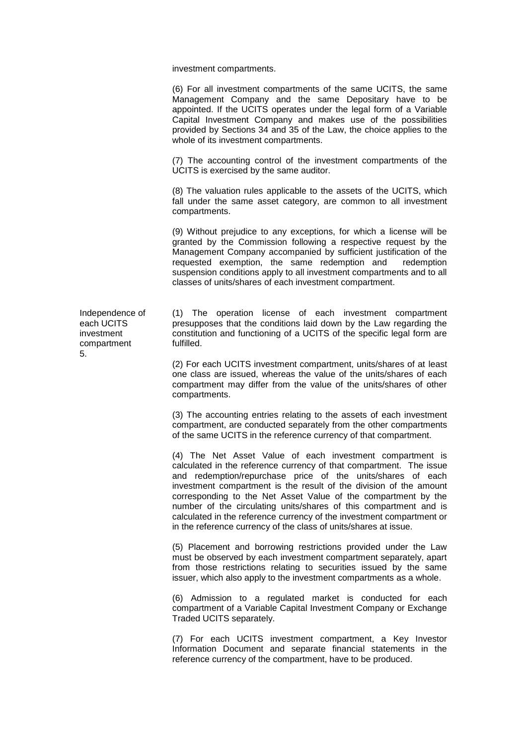investment compartments.

(6) For all investment compartments of the same UCITS, the same Management Company and the same Depositary have to be appointed. If the UCITS operates under the legal form of a Variable Capital Investment Company and makes use of the possibilities provided by Sections 34 and 35 of the Law, the choice applies to the whole of its investment compartments.

(7) The accounting control of the investment compartments of the UCITS is exercised by the same auditor.

(8) The valuation rules applicable to the assets of the UCITS, which fall under the same asset category, are common to all investment compartments.

(9) Without prejudice to any exceptions, for which a license will be granted by the Commission following a respective request by the Management Company accompanied by sufficient justification of the requested exemption, the same redemption and redemption suspension conditions apply to all investment compartments and to all classes of units/shares of each investment compartment.

Independence of each UCITS investment compartment 5.

(1) The operation license of each investment compartment presupposes that the conditions laid down by the Law regarding the constitution and functioning of a UCITS of the specific legal form are fulfilled.

(2) For each UCITS investment compartment, units/shares of at least one class are issued, whereas the value of the units/shares of each compartment may differ from the value of the units/shares of other compartments.

(3) The accounting entries relating to the assets of each investment compartment, are conducted separately from the other compartments of the same UCITS in the reference currency of that compartment.

(4) The Net Asset Value of each investment compartment is calculated in the reference currency of that compartment. The issue and redemption/repurchase price of the units/shares of each investment compartment is the result of the division of the amount corresponding to the Net Asset Value of the compartment by the number of the circulating units/shares of this compartment and is calculated in the reference currency of the investment compartment or in the reference currency of the class of units/shares at issue.

(5) Placement and borrowing restrictions provided under the Law must be observed by each investment compartment separately, apart from those restrictions relating to securities issued by the same issuer, which also apply to the investment compartments as a whole.

(6) Admission to a regulated market is conducted for each compartment of a Variable Capital Investment Company or Exchange Traded UCITS separately.

(7) For each UCITS investment compartment, a Key Investor Information Document and separate financial statements in the reference currency of the compartment, have to be produced.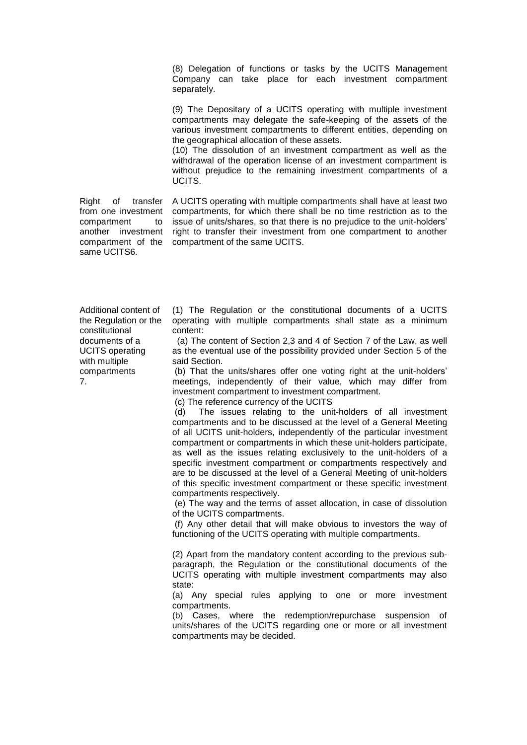(8) Delegation of functions or tasks by the UCITS Management Company can take place for each investment compartment separately.

(9) The Depositary of a UCITS operating with multiple investment compartments may delegate the safe-keeping of the assets of the various investment compartments to different entities, depending on the geographical allocation of these assets.

(10) The dissolution of an investment compartment as well as the withdrawal of the operation license of an investment compartment is without prejudice to the remaining investment compartments of a UCITS.

Right of transfer compartment to same UCITS6.

from one investment compartments, for which there shall be no time restriction as to the another investment right to transfer their investment from one compartment to another compartment of the compartment of the same UCITS. A UCITS operating with multiple compartments shall have at least two issue of units/shares, so that there is no prejudice to the unit-holders'

Additional content of the Regulation or the constitutional documents of a UCITS operating with multiple compartments 7.

(1) The Regulation or the constitutional documents of a UCITS operating with multiple compartments shall state as a minimum content:

(a) The content of Section 2,3 and 4 of Section 7 of the Law, as well as the eventual use of the possibility provided under Section 5 of the said Section.

(b) That the units/shares offer one voting right at the unit-holders' meetings, independently of their value, which may differ from investment compartment to investment compartment.

(c) The reference currency of the UCITS

(d) The issues relating to the unit-holders of all investment compartments and to be discussed at the level of a General Meeting of all UCITS unit-holders, independently of the particular investment compartment or compartments in which these unit-holders participate, as well as the issues relating exclusively to the unit-holders of a specific investment compartment or compartments respectively and are to be discussed at the level of a General Meeting of unit-holders of this specific investment compartment or these specific investment compartments respectively.

(e) The way and the terms of asset allocation, in case of dissolution of the UCITS compartments.

(f) Any other detail that will make obvious to investors the way of functioning of the UCITS operating with multiple compartments.

(2) Apart from the mandatory content according to the previous subparagraph, the Regulation or the constitutional documents of the UCITS operating with multiple investment compartments may also state:

(a) Any special rules applying to one or more investment compartments.

(b) Cases, where the redemption/repurchase suspension of units/shares of the UCITS regarding one or more or all investment compartments may be decided.